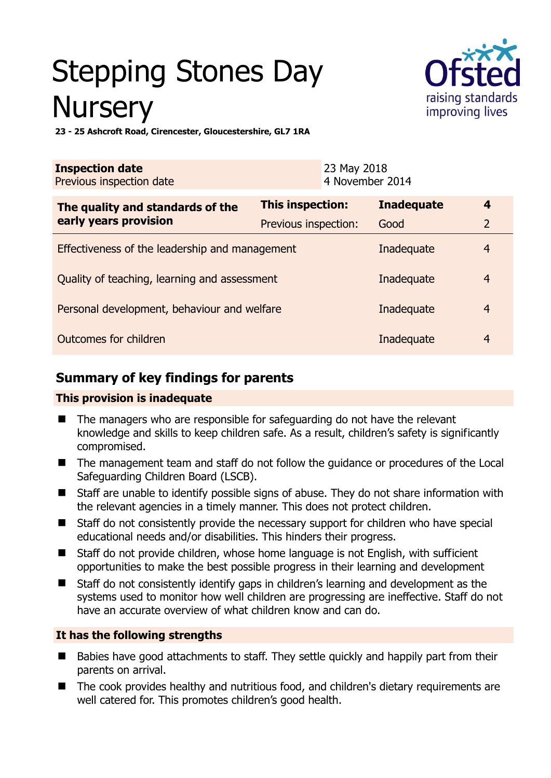# Stepping Stones Day **Nursery**



**23 - 25 Ashcroft Road, Cirencester, Gloucestershire, GL7 1RA** 

| <b>Inspection date</b><br>Previous inspection date |                         | 23 May 2018<br>4 November 2014 |                   |                |
|----------------------------------------------------|-------------------------|--------------------------------|-------------------|----------------|
| The quality and standards of the                   | <b>This inspection:</b> |                                | <b>Inadequate</b> | 4              |
| early years provision                              | Previous inspection:    |                                | Good              | $\overline{2}$ |
| Effectiveness of the leadership and management     |                         |                                | Inadequate        | 4              |
| Quality of teaching, learning and assessment       |                         |                                | Inadequate        | $\overline{4}$ |
| Personal development, behaviour and welfare        |                         |                                | Inadequate        | $\overline{4}$ |
| Outcomes for children                              |                         |                                | Inadequate        | $\overline{4}$ |

## **Summary of key findings for parents**

#### **This provision is inadequate**

- The managers who are responsible for safeguarding do not have the relevant knowledge and skills to keep children safe. As a result, children's safety is significantly compromised.
- The management team and staff do not follow the guidance or procedures of the Local Safeguarding Children Board (LSCB).
- Staff are unable to identify possible signs of abuse. They do not share information with the relevant agencies in a timely manner. This does not protect children.
- Staff do not consistently provide the necessary support for children who have special educational needs and/or disabilities. This hinders their progress.
- Staff do not provide children, whose home language is not English, with sufficient opportunities to make the best possible progress in their learning and development
- Staff do not consistently identify gaps in children's learning and development as the systems used to monitor how well children are progressing are ineffective. Staff do not have an accurate overview of what children know and can do.

#### **It has the following strengths**

- Babies have good attachments to staff. They settle quickly and happily part from their parents on arrival.
- The cook provides healthy and nutritious food, and children's dietary requirements are well catered for. This promotes children's good health.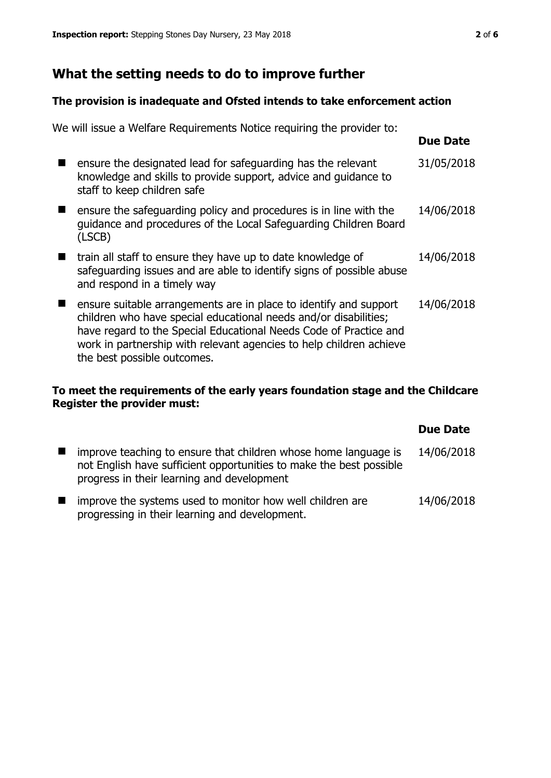# **What the setting needs to do to improve further**

#### **The provision is inadequate and Ofsted intends to take enforcement action**

| We will issue a Welfare Requirements Notice requiring the provider to:                                                                                                                                                                                                                                           |                 |
|------------------------------------------------------------------------------------------------------------------------------------------------------------------------------------------------------------------------------------------------------------------------------------------------------------------|-----------------|
|                                                                                                                                                                                                                                                                                                                  | <b>Due Date</b> |
| ensure the designated lead for safeguarding has the relevant<br>knowledge and skills to provide support, advice and guidance to<br>staff to keep children safe                                                                                                                                                   | 31/05/2018      |
| ensure the safeguarding policy and procedures is in line with the<br>guidance and procedures of the Local Safeguarding Children Board<br>(LSCB)                                                                                                                                                                  | 14/06/2018      |
| train all staff to ensure they have up to date knowledge of<br>safeguarding issues and are able to identify signs of possible abuse<br>and respond in a timely way                                                                                                                                               | 14/06/2018      |
| ensure suitable arrangements are in place to identify and support<br>children who have special educational needs and/or disabilities;<br>have regard to the Special Educational Needs Code of Practice and<br>work in partnership with relevant agencies to help children achieve<br>the best possible outcomes. | 14/06/2018      |

#### **To meet the requirements of the early years foundation stage and the Childcare Register the provider must:**

|                                                                                                                                                                                      | <b>Due Date</b> |
|--------------------------------------------------------------------------------------------------------------------------------------------------------------------------------------|-----------------|
| improve teaching to ensure that children whose home language is<br>not English have sufficient opportunities to make the best possible<br>progress in their learning and development | 14/06/2018      |
| improve the systems used to monitor how well children are<br>progressing in their learning and development.                                                                          | 14/06/2018      |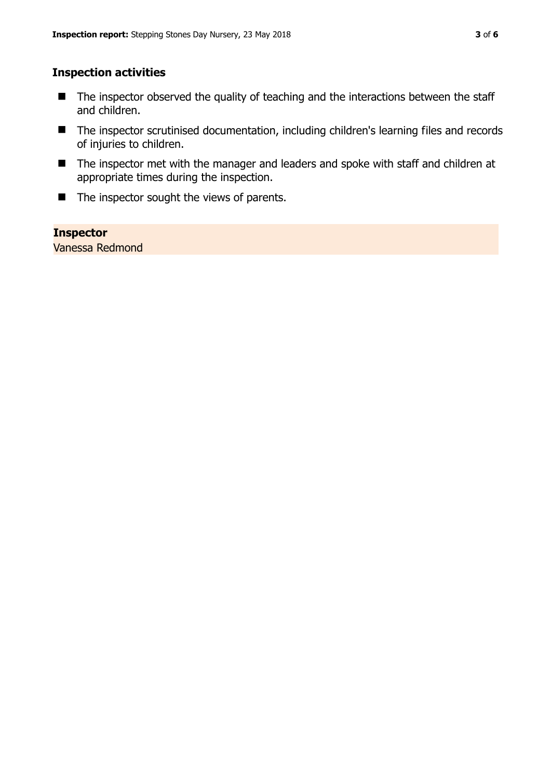#### **Inspection activities**

- $\blacksquare$  The inspector observed the quality of teaching and the interactions between the staff and children.
- The inspector scrutinised documentation, including children's learning files and records of injuries to children.
- The inspector met with the manager and leaders and spoke with staff and children at appropriate times during the inspection.
- $\blacksquare$  The inspector sought the views of parents.

#### **Inspector**

Vanessa Redmond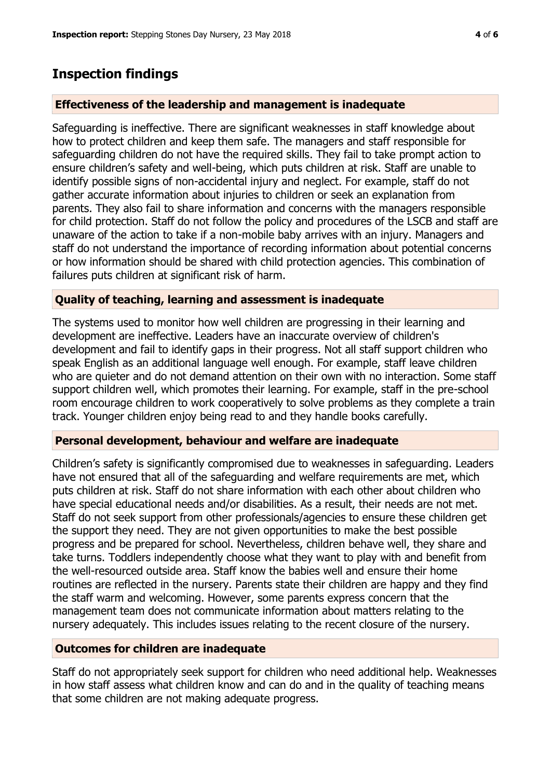### **Inspection findings**

#### **Effectiveness of the leadership and management is inadequate**

Safeguarding is ineffective. There are significant weaknesses in staff knowledge about how to protect children and keep them safe. The managers and staff responsible for safeguarding children do not have the required skills. They fail to take prompt action to ensure children's safety and well-being, which puts children at risk. Staff are unable to identify possible signs of non-accidental injury and neglect. For example, staff do not gather accurate information about injuries to children or seek an explanation from parents. They also fail to share information and concerns with the managers responsible for child protection. Staff do not follow the policy and procedures of the LSCB and staff are unaware of the action to take if a non-mobile baby arrives with an injury. Managers and staff do not understand the importance of recording information about potential concerns or how information should be shared with child protection agencies. This combination of failures puts children at significant risk of harm.

#### **Quality of teaching, learning and assessment is inadequate**

The systems used to monitor how well children are progressing in their learning and development are ineffective. Leaders have an inaccurate overview of children's development and fail to identify gaps in their progress. Not all staff support children who speak English as an additional language well enough. For example, staff leave children who are quieter and do not demand attention on their own with no interaction. Some staff support children well, which promotes their learning. For example, staff in the pre-school room encourage children to work cooperatively to solve problems as they complete a train track. Younger children enjoy being read to and they handle books carefully.

#### **Personal development, behaviour and welfare are inadequate**

Children's safety is significantly compromised due to weaknesses in safeguarding. Leaders have not ensured that all of the safeguarding and welfare requirements are met, which puts children at risk. Staff do not share information with each other about children who have special educational needs and/or disabilities. As a result, their needs are not met. Staff do not seek support from other professionals/agencies to ensure these children get the support they need. They are not given opportunities to make the best possible progress and be prepared for school. Nevertheless, children behave well, they share and take turns. Toddlers independently choose what they want to play with and benefit from the well-resourced outside area. Staff know the babies well and ensure their home routines are reflected in the nursery. Parents state their children are happy and they find the staff warm and welcoming. However, some parents express concern that the management team does not communicate information about matters relating to the nursery adequately. This includes issues relating to the recent closure of the nursery.

#### **Outcomes for children are inadequate**

Staff do not appropriately seek support for children who need additional help. Weaknesses in how staff assess what children know and can do and in the quality of teaching means that some children are not making adequate progress.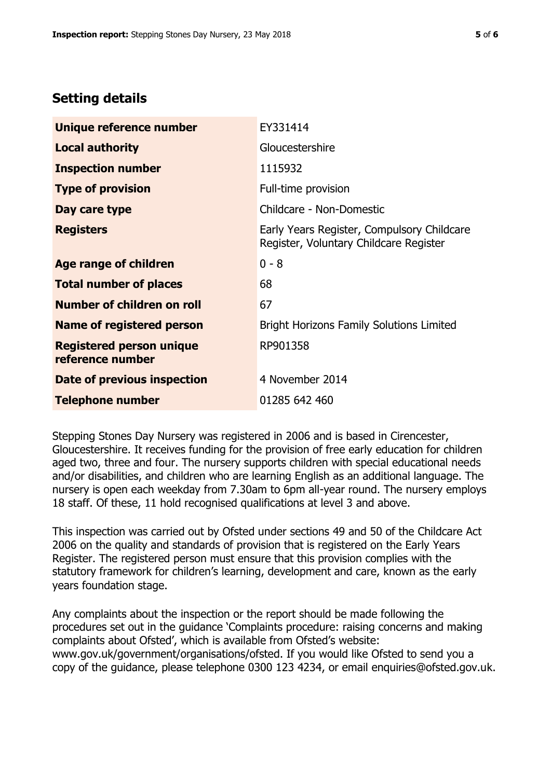# **Setting details**

| Unique reference number                             | EY331414                                                                             |
|-----------------------------------------------------|--------------------------------------------------------------------------------------|
| <b>Local authority</b>                              | Gloucestershire                                                                      |
| <b>Inspection number</b>                            | 1115932                                                                              |
| <b>Type of provision</b>                            | Full-time provision                                                                  |
| Day care type                                       | Childcare - Non-Domestic                                                             |
| <b>Registers</b>                                    | Early Years Register, Compulsory Childcare<br>Register, Voluntary Childcare Register |
| Age range of children                               | $0 - 8$                                                                              |
| <b>Total number of places</b>                       | 68                                                                                   |
| Number of children on roll                          | 67                                                                                   |
| Name of registered person                           | <b>Bright Horizons Family Solutions Limited</b>                                      |
| <b>Registered person unique</b><br>reference number | RP901358                                                                             |
| <b>Date of previous inspection</b>                  | 4 November 2014                                                                      |
| <b>Telephone number</b>                             | 01285 642 460                                                                        |

Stepping Stones Day Nursery was registered in 2006 and is based in Cirencester, Gloucestershire. It receives funding for the provision of free early education for children aged two, three and four. The nursery supports children with special educational needs and/or disabilities, and children who are learning English as an additional language. The nursery is open each weekday from 7.30am to 6pm all-year round. The nursery employs 18 staff. Of these, 11 hold recognised qualifications at level 3 and above.

This inspection was carried out by Ofsted under sections 49 and 50 of the Childcare Act 2006 on the quality and standards of provision that is registered on the Early Years Register. The registered person must ensure that this provision complies with the statutory framework for children's learning, development and care, known as the early years foundation stage.

Any complaints about the inspection or the report should be made following the procedures set out in the guidance 'Complaints procedure: raising concerns and making complaints about Ofsted', which is available from Ofsted's website: www.gov.uk/government/organisations/ofsted. If you would like Ofsted to send you a copy of the guidance, please telephone 0300 123 4234, or email enquiries@ofsted.gov.uk.